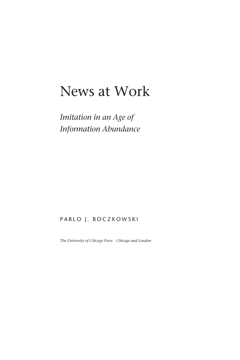# News at Work

### *Imitation in an Age of Information Abundance*

### PABLO J. BOCZKOWSKI

*The University of Chicago Press Chicago and London*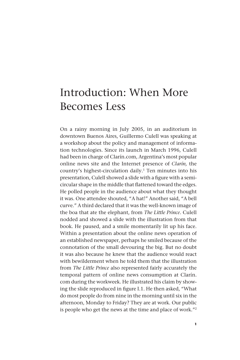## Introduction: When More Becomes Less

On a rainy morning in July 2005, in an auditorium in downtown Buenos Aires, Guillermo Culell was speaking at a workshop about the policy and management of information technologies. Since its launch in March 1996, Culell had been in charge of Clarín.com, Argentina's most popular online news site and the Internet presence of *Clarín,* the country's highest-circulation daily.<sup>1</sup> Ten minutes into his presentation, Culell showed a slide with a figure with a semicircular shape in the middle that flattened toward the edges. He polled people in the audience about what they thought it was. One attendee shouted, "A hat!" Another said, "A bell curve." A third declared that it was the well-known image of the boa that ate the elephant, from *The Little Prince*. Culell nodded and showed a slide with the illustration from that book. He paused, and a smile momentarily lit up his face. Within a presentation about the online news operation of an established newspaper, perhaps he smiled because of the connotation of the small devouring the big. But no doubt it was also because he knew that the audience would react with bewilderment when he told them that the illustration from *The Little Prince* also represented fairly accurately the temporal pattern of online news consumption at Clarín. com during the workweek. He illustrated his claim by showing the slide reproduced in figure I.1. He then asked, "What do most people do from nine in the morning until six in the afternoon, Monday to Friday? They are at work. Our public is people who get the news at the time and place of work."2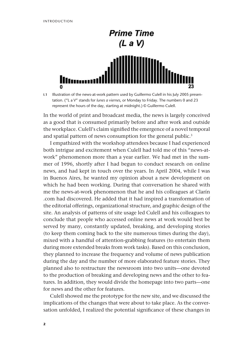

**I.1** Illustration of the news-at-work pattern used by Guillermo Culell in his July 2005 presentation. ("L a V" stands for *lunes a viernes*, or Monday to Friday. The numbers 0 and 23 represent the hours of the day, starting at midnight.) © Guillermo Culell.

In the world of print and broadcast media, the news is largely conceived as a good that is consumed primarily before and after work and outside the workplace. Culell's claim signified the emergence of a novel temporal and spatial pattern of news consumption for the general public.<sup>3</sup>

I empathized with the workshop attendees because I had experienced both intrigue and excitement when Culell had told me of this "news-atwork" phenomenon more than a year earlier. We had met in the summer of 1996, shortly after I had begun to conduct research on online news, and had kept in touch over the years. In April 2004, while I was in Buenos Aires, he wanted my opinion about a new development on which he had been working. During that conversation he shared with me the news-at-work phenomenon that he and his colleagues at Clarín .com had discovered. He added that it had inspired a transformation of the editorial offerings, organizational structure, and graphic design of the site. An analysis of patterns of site usage led Culell and his colleagues to conclude that people who accessed online news at work would best be served by many, constantly updated, breaking, and developing stories (to keep them coming back to the site numerous times during the day), mixed with a handful of attention-grabbing features (to entertain them during more extended breaks from work tasks). Based on this conclusion, they planned to increase the frequency and volume of news publication during the day and the number of more elaborated feature stories. They planned also to restructure the newsroom into two units—one devoted to the production of breaking and developing news and the other to features. In addition, they would divide the homepage into two parts—one for news and the other for features.

Culell showed me the prototype for the new site, and we discussed the implications of the changes that were about to take place. As the conversation unfolded, I realized the potential significance of these changes in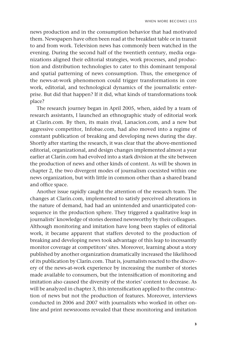news production and in the consumption behavior that had motivated them. Newspapers have often been read at the breakfast table or in transit to and from work. Television news has commonly been watched in the evening. During the second half of the twentieth century, media organizations aligned their editorial strategies, work processes, and production and distribution technologies to cater to this dominant temporal and spatial patterning of news consumption. Thus, the emergence of the news-at-work phenomenon could trigger transformations in core work, editorial, and technological dynamics of the journalistic enterprise. But did that happen? If it did, what kinds of transformations took place?

The research journey began in April 2005, when, aided by a team of research assistants, I launched an ethnographic study of editorial work at Clarín.com. By then, its main rival, Lanacion.com, and a new but aggressive competitor, Infobae.com, had also moved into a regime of constant publication of breaking and developing news during the day. Shortly after starting the research, it was clear that the above-mentioned editorial, organizational, and design changes implemented almost a year earlier at Clarín.com had evolved into a stark division at the site between the production of news and other kinds of content. As will be shown in chapter 2, the two divergent modes of journalism coexisted within one news organization, but with little in common other than a shared brand and office space.

Another issue rapidly caught the attention of the research team. The changes at Clarín.com, implemented to satisfy perceived alterations in the nature of demand, had had an unintended and unanticipated consequence in the production sphere. They triggered a qualitative leap in journalists' knowledge of stories deemed newsworthy by their colleagues. Although monitoring and imitation have long been staples of editorial work, it became apparent that staffers devoted to the production of breaking and developing news took advantage of this leap to incessantly monitor coverage at competitors' sites. Moreover, learning about a story published by another organization dramatically increased the likelihood of its publication by Clarín.com*.* That is, journalists reacted to the discovery of the news-at-work experience by increasing the number of stories made available to consumers, but the intensification of monitoring and imitation also caused the diversity of the stories' content to decrease. As will be analyzed in chapter 3, this intensification applied to the construction of news but not the production of features. Moreover, interviews conducted in 2006 and 2007 with journalists who worked in other online and print newsrooms revealed that these monitoring and imitation

 $\overline{\mathbf{3}}$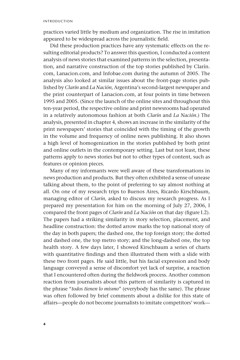practices varied little by medium and organization. The rise in imitation appeared to be widespread across the journalistic field.

Did these production practices have any systematic effects on the resulting editorial products? To answer this question, I conducted a content analysis of news stories that examined patterns in the selection, presentation, and narrative construction of the top stories published by Clarín. com, Lanacion.com, and Infobae.com during the autumn of 2005. The analysis also looked at similar issues about the front-page stories published by *Clarín* and *La Nación*, Argentina's second-largest newspaper and the print counterpart of Lanacion.com, at four points in time between 1995 and 2005. (Since the launch of the online sites and throughout this ten-year period, the respective online and print newsrooms had operated in a relatively autonomous fashion at both *Clarín* and *La Nación*.) The analysis, presented in chapter 4, shows an increase in the similarity of the print newspapers' stories that coincided with the timing of the growth in the volume and frequency of online news publishing. It also shows a high level of homogenization in the stories published by both print and online outlets in the contemporary setting. Last but not least, these patterns apply to news stories but not to other types of content, such as features or opinion pieces.

Many of my informants were well aware of these transformations in news production and products. But they often exhibited a sense of unease talking about them, to the point of preferring to say almost nothing at all. On one of my research trips to Buenos Aires, Ricardo Kirschbaum, managing editor of *Clarín,* asked to discuss my research progress. As I prepared my presentation for him on the morning of July 27, 2006, I compared the front pages of *Clarín* and *La Nación* on that day (figure I.2). The papers had a striking similarity in story selection, placement, and headline construction: the dotted arrow marks the top national story of the day in both papers; the dashed one, the top foreign story; the dotted and dashed one, the top metro story; and the long-dashed one, the top health story. A few days later, I showed Kirschbaum a series of charts with quantitative findings and then illustrated them with a slide with these two front pages. He said little, but his facial expression and body language conveyed a sense of discomfort yet lack of surprise, a reaction that I encountered often during the fieldwork process. Another common reaction from journalists about this pattern of similarity is captured in the phrase "*todos tienen lo mismo*" (everybody has the same). The phrase was often followed by brief comments about a dislike for this state of affairs—people do not become journalists to imitate competitors' work—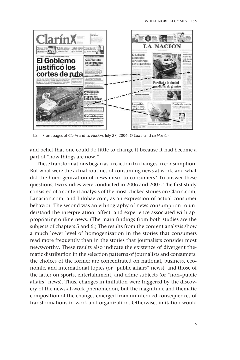

I.2 Front pages of *Clarín* and *La Nación*, July 27, 2006. *© Clarín* and *La Nación*.

and belief that one could do little to change it because it had become a part of "how things are now."

These transformations began as a reaction to changes in consumption. But what were the actual routines of consuming news at work, and what did the homogenization of news mean to consumers? To answer these questions, two studies were conducted in 2006 and 2007. The first study consisted of a content analysis of the most-clicked stories on Clarín.com, Lanacion.com, and Infobae.com, as an expression of actual consumer behavior. The second was an ethnography of news consumption to understand the interpretation, affect, and experience associated with appropriating online news. (The main findings from both studies are the subjects of chapters 5 and 6.) The results from the content analysis show a much lower level of homogenization in the stories that consumers read more frequently than in the stories that journalists consider most newsworthy. These results also indicate the existence of divergent thematic distribution in the selection patterns of journalists and consumers: the choices of the former are concentrated on national, business, economic, and international topics (or "public affairs" news), and those of the latter on sports, entertainment, and crime subjects (or "non–public affairs" news). Thus, changes in imitation were triggered by the discovery of the news-at-work phenomenon, but the magnitude and thematic composition of the changes emerged from unintended consequences of transformations in work and organization. Otherwise, imitation would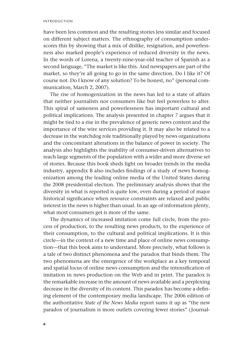#### introduction

have been less common and the resulting stories less similar and focused on different subject matters. The ethnography of consumption underscores this by showing that a mix of dislike, resignation, and powerlessness also marked people's experience of reduced diversity in the news. In the words of Lorena, a twenty-nine-year-old teacher of Spanish as a second language, "The market is like this. And newspapers are part of the market, so they're all going to go in the same direction. Do I like it? Of course not. Do I know of any solution? To be honest, no" (personal communication, March 2, 2007).

The rise of homogenization in the news has led to a state of affairs that neither journalists nor consumers like but feel powerless to alter. This spiral of sameness and powerlessness has important cultural and political implications. The analysis presented in chapter 7 argues that it might be tied to a rise in the prevalence of generic news content and the importance of the wire services providing it. It may also be related to a decrease in the watchdog role traditionally played by news organizations and the concomitant alterations in the balance of power in society. The analysis also highlights the inability of consumer-driven alternatives to reach large segments of the population with a wider and more diverse set of stories. Because this book sheds light on broader trends in the media industry, appendix B also includes findings of a study of news homogenization among the leading online media of the United States during the 2008 presidential election. The preliminary analysis shows that the diversity in what is reported is quite low, even during a period of major historical significance when resource constraints are relaxed and public interest in the news is higher than usual. In an age of information plenty, what most consumers get is more of the same.

The dynamics of increased imitation come full circle, from the process of production, to the resulting news products, to the experience of their consumption, to the cultural and political implications. It is this circle—in the context of a new time and place of online news consumption—that this book aims to understand. More precisely, what follows is a tale of two distinct phenomena and the paradox that binds them. The two phenomena are the emergence of the workplace as a key temporal and spatial locus of online news consumption and the intensification of imitation in news production on the Web and in print. The paradox is the remarkable increase in the amount of news available and a perplexing decrease in the diversity of its content. This paradox has become a defining element of the contemporary media landscape. The 2006 edition of the authoritative *State of the News Media* report sums it up as "the new paradox of journalism is more outlets covering fewer stories" (Journal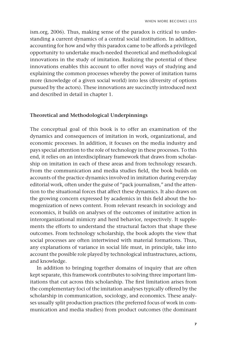ism.org, 2006). Thus, making sense of the paradox is critical to understanding a current dynamics of a central social institution. In addition, accounting for how and why this paradox came to be affords a privileged opportunity to undertake much-needed theoretical and methodological innovations in the study of imitation. Realizing the potential of these innovations enables this account to offer novel ways of studying and explaining the common processes whereby the power of imitation turns more (knowledge of a given social world) into less (diversity of options pursued by the actors). These innovations are succinctly introduced next and described in detail in chapter 1.

#### **Theoretical and Methodological Underpinnings**

The conceptual goal of this book is to offer an examination of the dynamics and consequences of imitation in work, organizational, and economic processes. In addition, it focuses on the media industry and pays special attention to the role of technology in these processes. To this end, it relies on an interdisciplinary framework that draws from scholarship on imitation in each of these areas and from technology research. From the communication and media studies field, the book builds on accounts of the practice dynamics involved in imitation during everyday editorial work, often under the guise of "pack journalism," and the attention to the situational forces that affect these dynamics. It also draws on the growing concern expressed by academics in this field about the homogenization of news content. From relevant research in sociology and economics, it builds on analyses of the outcomes of imitative action in interorganizational mimicry and herd behavior, respectively. It supplements the efforts to understand the structural factors that shape these outcomes. From technology scholarship, the book adopts the view that social processes are often intertwined with material formations. Thus, any explanations of variance in social life must, in principle, take into account the possible role played by technological infrastructures, actions, and knowledge.

In addition to bringing together domains of inquiry that are often kept separate, this framework contributes to solving three important limitations that cut across this scholarship. The first limitation arises from the complementary foci of the imitation analyses typically offered by the scholarship in communication, sociology, and economics. These analyses usually split production practices (the preferred focus of work in communication and media studies) from product outcomes (the dominant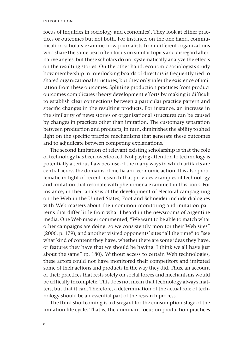#### introduction

focus of inquiries in sociology and economics). They look at either practices or outcomes but not both. For instance, on the one hand, communication scholars examine how journalists from different organizations who share the same beat often focus on similar topics and disregard alternative angles, but these scholars do not systematically analyze the effects on the resulting stories. On the other hand, economic sociologists study how membership in interlocking boards of directors is frequently tied to shared organizational structures, but they only infer the existence of imitation from these outcomes. Splitting production practices from product outcomes complicates theory development efforts by making it difficult to establish clear connections between a particular practice pattern and specific changes in the resulting products. For instance, an increase in the similarity of news stories or organizational structures can be caused by changes in practices other than imitation. The customary separation between production and products, in turn, diminishes the ability to shed light on the specific practice mechanisms that generate these outcomes and to adjudicate between competing explanations.

The second limitation of relevant existing scholarship is that the role of technology has been overlooked. Not paying attention to technology is potentially a serious flaw because of the many ways in which artifacts are central across the domains of media and economic action. It is also problematic in light of recent research that provides examples of technology and imitation that resonate with phenomena examined in this book. For instance, in their analysis of the development of electoral campaigning on the Web in the United States, Foot and Schneider include dialogues with Web masters about their common monitoring and imitation patterns that differ little from what I heard in the newsrooms of Argentine media. One Web master commented, "We want to be able to match what other campaigns are doing, so we consistently monitor their Web sites" (2006, p. 179), and another visited opponents' sites "all the time" to "see what kind of content they have, whether there are some ideas they have, or features they have that we should be having. I think we all have just about the same" (p. 180). Without access to certain Web technologies, these actors could not have monitored their competitors and imitated some of their actions and products in the way they did. Thus, an account of their practices that rests solely on social forces and mechanisms would be critically incomplete. This does not mean that technology always matters, but that it can. Therefore, a determination of the actual role of technology should be an essential part of the research process.

The third shortcoming is a disregard for the consumption stage of the imitation life cycle. That is, the dominant focus on production practices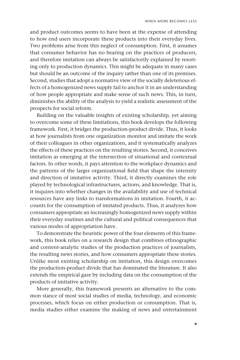and product outcomes seems to have been at the expense of attending to how end users incorporate these products into their everyday lives. Two problems arise from this neglect of consumption. First, it assumes that consumer behavior has no bearing on the practices of producers, and therefore imitation can always be satisfactorily explained by resorting only to production dynamics. This might be adequate in many cases but should be an outcome of the inquiry rather than one of its premises. Second, studies that adopt a normative view of the socially deleterious effects of a homogenized news supply fail to anchor it in an understanding of how people appropriate and make sense of such news. This, in turn, diminishes the ability of the analysis to yield a realistic assessment of the prospects for social reform.

Building on the valuable insights of existing scholarship, yet aiming to overcome some of these limitations, this book develops the following framework. First, it bridges the production-product divide. Thus, it looks at how journalists from one organization monitor and imitate the work of their colleagues in other organizations, and it systematically analyzes the effects of these practices on the resulting stories. Second, it conceives imitation as emerging at the intersection of situational and contextual factors. In other words, it pays attention to the workplace dynamics and the patterns of the larger organizational field that shape the intensity and direction of imitative activity. Third, it directly examines the role played by technological infrastructures, actions, and knowledge. That is, it inquires into whether changes in the availability and use of technical resources have any links to transformations in imitation. Fourth, it accounts for the consumption of imitated products. Thus, it analyzes how consumers appropriate an increasingly homogenized news supply within their everyday routines and the cultural and political consequences that various modes of appropriation have.

To demonstrate the heuristic power of the four elements of this framework, this book relies on a research design that combines ethnographic and content-analytic studies of the production practices of journalists, the resulting news stories, and how consumers appropriate these stories. Unlike most existing scholarship on imitation, this design overcomes the production-product divide that has dominated the literature. It also extends the empirical gaze by including data on the consumption of the products of imitative activity.

More generally, this framework presents an alternative to the common stance of most social studies of media, technology, and economic processes, which focus on either production or consumption. That is, media studies either examine the making of news and entertainment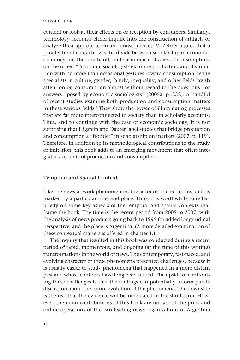content or look at their effects on or reception by consumers. Similarly, technology accounts either inquire into the construction of artifacts or analyze their appropriation and consequences. V. Zelizer argues that a parallel trend characterizes the divide between scholarship in economic sociology, on the one hand, and sociological studies of consumption, on the other: "Economic sociologists examine production and distribution with no more than occasional gestures toward consumption, while specialists in culture, gender, family, inequality, and other fields lavish attention on consumption almost without regard to the questions—or answers—posed by economic sociologists" (2005a, p. 332). A handful of recent studies examine both production and consumption matters in these various fields.4 They show the power of illuminating processes that are far more interconnected in society than in scholarly accounts. Thus, and to continue with the case of economic sociology, it is not surprising that Fligstein and Dauter label studies that bridge production and consumption a "frontier" in scholarship on markets (2007, p. 119). Therefore, in addition to its methodological contributions to the study of imitation, this book adds to an emerging movement that offers integrated accounts of production and consumption.

#### **Temporal and Spatial Context**

Like the news-at-work phenomenon, the account offered in this book is marked by a particular time and place. Thus, it is worthwhile to reflect briefly on some key aspects of the temporal and spatial contexts that frame the book. The time is the recent period from 2005 to 2007, with the analysis of news products going back to 1995 for added longitudinal perspective, and the place is Argentina. (A more detailed examination of these contextual matters is offered in chapter 1.)

The inquiry that resulted in this book was conducted during a recent period of rapid, momentous, and ongoing (at the time of this writing) transformations in the world of news. The contemporary, fast-paced, and evolving character of these phenomena presented challenges, because it is usually easier to study phenomena that happened in a more distant past and whose contours have long been settled. The upside of confronting these challenges is that the findings can potentially inform public discussion about the future evolution of the phenomena. The downside is the risk that the evidence will become dated in the short term. However, the main contributions of this book are not about the print and online operations of the two leading news organizations of Argentina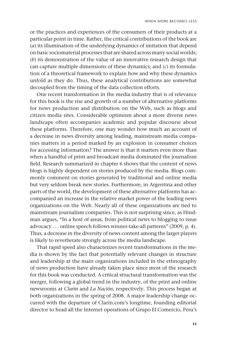or the practices and experiences of the consumers of their products at a particular point in time. Rather, the critical contributions of the book are (*a*) its illumination of the underlying dynamics of imitation that depend on basic sociomaterial processes that are shared across many social worlds; (*b*) its demonstration of the value of an innovative research design that can capture multiple dimensions of these dynamics; and (*c*) its formulation of a theoretical framework to explain how and why these dynamics unfold as they do. Thus, these analytical contributions are somewhat decoupled from the timing of the data collection efforts.

One recent transformation in the media industry that is of relevance for this book is the rise and growth of a number of alternative platforms for news production and distribution on the Web, such as blogs and citizen media sites. Considerable optimism about a more diverse news landscape often accompanies academic and popular discourse about these platforms. Therefore, one may wonder how much an account of a decrease in news diversity among leading, mainstream media companies matters in a period marked by an explosion in consumer choices for accessing information? The answer is that it matters even more than when a handful of print and broadcast media dominated the journalism field. Research summarized in chapter 6 shows that the content of news blogs is highly dependent on stories produced by the media. Blogs commonly comment on stories generated by traditional and online media but very seldom break new stories. Furthermore, in Argentina and other parts of the world, the development of these alternative platforms has accompanied an increase in the relative market power of the leading news organizations on the Web. Nearly all of these organizations are tied to mainstream journalism companies. This is not surprising since, as Hindman argues, "In a host of areas, from political news to blogging to issue advocacy . . . online speech follows winner-take-all patterns" (2009, p. 4). Thus, a decrease in the diversity of news content among the larger players is likely to reverberate strongly across the media landscape.

That rapid speed also characterizes recent transformations in the media is shown by the fact that potentially relevant changes in structure and leadership at the main organizations included in the ethnography of news production have already taken place since most of the research for this book was conducted. A critical structural transformation was the merger, following a global trend in the industry, of the print and online newsrooms at *Clarín* and *La Nación,* respectively. This process began at both organizations in the spring of 2008. A major leadership change occurred with the departure of Clarín.com's longtime, founding editorial director to head all the Internet operations of Grupo El Comercio, Peru's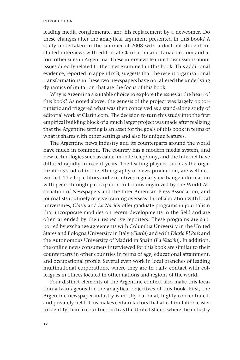leading media conglomerate, and his replacement by a newcomer. Do these changes alter the analytical argument presented in this book? A study undertaken in the summer of 2008 with a doctoral student included interviews with editors at Clarín.com and Lanacion.com and at four other sites in Argentina. These interviews featured discussions about issues directly related to the ones examined in this book. This additional evidence, reported in appendix B, suggests that the recent organizational transformations in these two newspapers have not altered the underlying dynamics of imitation that are the focus of this book.

Why is Argentina a suitable choice to explore the issues at the heart of this book? As noted above, the genesis of the project was largely opportunistic and triggered what was then conceived as a stand-alone study of editorial work at Clarín.com. The decision to turn this study into the first empirical building block of a much larger project was made after realizing that the Argentine setting is an asset for the goals of this book in terms of what it shares with other settings and also its unique features.

The Argentine news industry and its counterparts around the world have much in common. The country has a modern media system, and new technologies such as cable, mobile telephony, and the Internet have diffused rapidly in recent years. The leading players, such as the organizations studied in the ethnography of news production, are well networked. The top editors and executives regularly exchange information with peers through participation in forums organized by the World Association of Newspapers and the Inter American Press Association, and journalists routinely receive training overseas. In collaboration with local universities, *Clarín* and *La Nación* offer graduate programs in journalism that incorporate modules on recent developments in the field and are often attended by their respective reporters. These programs are supported by exchange agreements with Columbia University in the United States and Bologna University in Italy (*Clarín*) and with *Diario El País* and the Autonomous University of Madrid in Spain (*La Nación*). In addition, the online news consumers interviewed for this book are similar to their counterparts in other countries in terms of age, educational attainment, and occupational profile. Several even work in local branches of leading multinational corporations, where they are in daily contact with colleagues in offices located in other nations and regions of the world.

Four distinct elements of the Argentine context also make this location advantageous for the analytical objectives of this book. First, the Argentine newspaper industry is mostly national, highly concentrated, and privately held. This makes certain factors that affect imitation easier to identify than in countries such as the United States, where the industry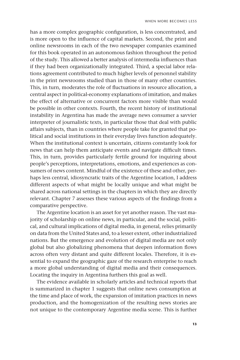has a more complex geographic configuration, is less concentrated, and is more open to the influence of capital markets. Second, the print and online newsrooms in each of the two newspaper companies examined for this book operated in an autonomous fashion throughout the period of the study. This allowed a better analysis of intermedia influences than if they had been organizationally integrated. Third, a special labor relations agreement contributed to much higher levels of personnel stability in the print newsrooms studied than in those of many other countries. This, in turn, moderates the role of fluctuations in resource allocation, a central aspect in political-economy explanations of imitation, and makes the effect of alternative or concurrent factors more visible than would be possible in other contexts. Fourth, the recent history of institutional instability in Argentina has made the average news consumer a savvier interpreter of journalistic texts, in particular those that deal with public affairs subjects, than in countries where people take for granted that political and social institutions in their everyday lives function adequately. When the institutional context is uncertain, citizens constantly look for news that can help them anticipate events and navigate difficult times. This, in turn, provides particularly fertile ground for inquiring about people's perceptions, interpretations, emotions, and experiences as consumers of news content. Mindful of the existence of these and other, perhaps less central, idiosyncratic traits of the Argentine location, I address different aspects of what might be locally unique and what might be shared across national settings in the chapters in which they are directly relevant. Chapter 7 assesses these various aspects of the findings from a comparative perspective.

The Argentine location is an asset for yet another reason. The vast majority of scholarship on online news, in particular, and the social, political, and cultural implications of digital media, in general, relies primarily on data from the United States and, to a lesser extent, other industrialized nations. But the emergence and evolution of digital media are not only global but also globalizing phenomena that deepen information flows across often very distant and quite different locales. Therefore, it is essential to expand the geographic gaze of the research enterprise to reach a more global understanding of digital media and their consequences. Locating the inquiry in Argentina furthers this goal as well.

The evidence available in scholarly articles and technical reports that is summarized in chapter 1 suggests that online news consumption at the time and place of work, the expansion of imitation practices in news production, and the homogenization of the resulting news stories are not unique to the contemporary Argentine media scene. This is further